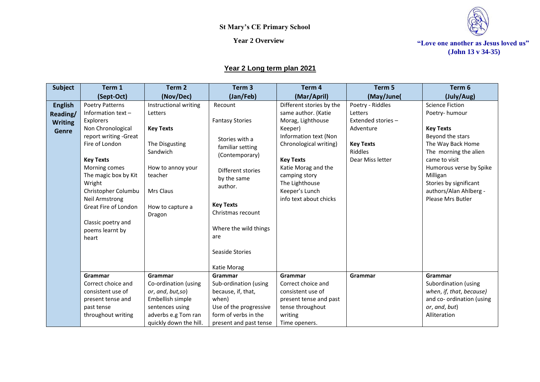

**(John 13 v 34-35)**

### **Year 2 Long term plan 2021**

| <b>Subject</b> | Term 1                                | Term <sub>2</sub>            | Term <sub>3</sub>      | Term 4                               | Term 5             | Term 6                              |
|----------------|---------------------------------------|------------------------------|------------------------|--------------------------------------|--------------------|-------------------------------------|
|                | (Sept-Oct)                            | (Nov/Dec)                    | (Jan/Feb)              | (Mar/April)                          | (May/June(         | (July/Aug)                          |
| <b>English</b> | <b>Poetry Patterns</b>                | Instructional writing        | Recount                | Different stories by the             | Poetry - Riddles   | <b>Science Fiction</b>              |
| Reading/       | Information text $-$                  | Letters                      |                        | same author. (Katie                  | Letters            | Poetry-humour                       |
| <b>Writing</b> | Explorers                             |                              | <b>Fantasy Stories</b> | Morag, Lighthouse                    | Extended stories - |                                     |
| <b>Genre</b>   | Non Chronological                     | <b>Key Texts</b>             |                        | Keeper)                              | Adventure          | <b>Key Texts</b>                    |
|                | report writing -Great                 |                              | Stories with a         | Information text (Non                |                    | Beyond the stars                    |
|                | Fire of London                        | The Disgusting               | familiar setting       | Chronological writing)               | <b>Key Texts</b>   | The Way Back Home                   |
|                |                                       | Sandwich                     | (Contemporary)         |                                      | <b>Riddles</b>     | The morning the alien               |
|                | <b>Key Texts</b>                      |                              |                        | <b>Key Texts</b>                     | Dear Miss letter   | came to visit                       |
|                | Morning comes<br>The magic box by Kit | How to annoy your<br>teacher | Different stories      | Katie Morag and the<br>camping story |                    | Humorous verse by Spike<br>Milligan |
|                | Wright                                |                              | by the same            | The Lighthouse                       |                    | Stories by significant              |
|                | Christopher Columbu                   | Mrs Claus                    | author.                | Keeper's Lunch                       |                    | authors/Alan Ahlberg -              |
|                | <b>Neil Armstrong</b>                 |                              |                        | info text about chicks               |                    | Please Mrs Butler                   |
|                | Great Fire of London                  | How to capture a             | <b>Key Texts</b>       |                                      |                    |                                     |
|                |                                       | Dragon                       | Christmas recount      |                                      |                    |                                     |
|                | Classic poetry and                    |                              |                        |                                      |                    |                                     |
|                | poems learnt by                       |                              | Where the wild things  |                                      |                    |                                     |
|                | heart                                 |                              | are                    |                                      |                    |                                     |
|                |                                       |                              |                        |                                      |                    |                                     |
|                |                                       |                              | Seaside Stories        |                                      |                    |                                     |
|                |                                       |                              | Katie Morag            |                                      |                    |                                     |
|                | Grammar                               | Grammar                      | Grammar                | Grammar                              | Grammar            | Grammar                             |
|                | Correct choice and                    | Co-ordination (using         | Sub-ordination (using  | Correct choice and                   |                    | Subordination (using                |
|                | consistent use of                     | or, and, but,so)             | because, if, that,     | consistent use of                    |                    | when, if, that, because)            |
|                | present tense and                     | Embellish simple             | when)                  | present tense and past               |                    | and co- ordination (using           |
|                | past tense                            | sentences using              | Use of the progressive | tense throughout                     |                    | or, and, but)                       |
|                | throughout writing                    | adverbs e.g Tom ran          | form of verbs in the   | writing                              |                    | Alliteration                        |
|                |                                       | quickly down the hill.       | present and past tense | Time openers.                        |                    |                                     |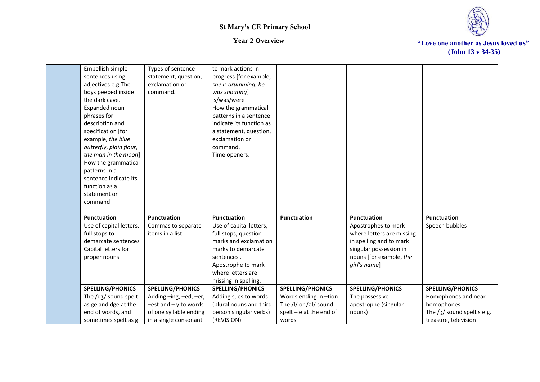



| Embellish simple        | Types of sentence-        | to mark actions in       |                        |                           |                              |
|-------------------------|---------------------------|--------------------------|------------------------|---------------------------|------------------------------|
| sentences using         | statement, question,      | progress [for example,   |                        |                           |                              |
| adjectives e.g The      | exclamation or            | she is drumming, he      |                        |                           |                              |
| boys peeped inside      | command.                  | was shouting]            |                        |                           |                              |
| the dark cave.          |                           | is/was/were              |                        |                           |                              |
| Expanded noun           |                           | How the grammatical      |                        |                           |                              |
| phrases for             |                           | patterns in a sentence   |                        |                           |                              |
| description and         |                           | indicate its function as |                        |                           |                              |
| specification [for      |                           | a statement, question,   |                        |                           |                              |
| example, the blue       |                           | exclamation or           |                        |                           |                              |
| butterfly, plain flour, |                           | command.                 |                        |                           |                              |
| the man in the moon]    |                           | Time openers.            |                        |                           |                              |
| How the grammatical     |                           |                          |                        |                           |                              |
| patterns in a           |                           |                          |                        |                           |                              |
| sentence indicate its   |                           |                          |                        |                           |                              |
| function as a           |                           |                          |                        |                           |                              |
| statement or            |                           |                          |                        |                           |                              |
| command                 |                           |                          |                        |                           |                              |
|                         |                           |                          |                        |                           |                              |
| <b>Punctuation</b>      | <b>Punctuation</b>        | <b>Punctuation</b>       | <b>Punctuation</b>     | <b>Punctuation</b>        | <b>Punctuation</b>           |
| Use of capital letters, | Commas to separate        | Use of capital letters,  |                        | Apostrophes to mark       | Speech bubbles               |
| full stops to           | items in a list           | full stops, question     |                        | where letters are missing |                              |
| demarcate sentences     |                           | marks and exclamation    |                        | in spelling and to mark   |                              |
| Capital letters for     |                           | marks to demarcate       |                        | singular possession in    |                              |
| proper nouns.           |                           | sentences.               |                        | nouns [for example, the   |                              |
|                         |                           | Apostrophe to mark       |                        | girl's name]              |                              |
|                         |                           | where letters are        |                        |                           |                              |
|                         |                           | missing in spelling.     |                        |                           |                              |
| <b>SPELLING/PHONICS</b> | <b>SPELLING/PHONICS</b>   | <b>SPELLING/PHONICS</b>  | SPELLING/PHONICS       | <b>SPELLING/PHONICS</b>   | <b>SPELLING/PHONICS</b>      |
| The /dʒ/ sound spelt    | Adding -ing, -ed, -er,    | Adding s, es to words    | Words ending in -tion  | The possessive            | Homophones and near-         |
| as ge and dge at the    | $-est$ and $- y$ to words | (plural nouns and third  | The /l/ or /al/ sound  | apostrophe (singular      | homophones                   |
| end of words, and       | of one syllable ending    | person singular verbs)   | spelt-le at the end of | nouns)                    | The $/3/$ sound spelt s e.g. |
| sometimes spelt as g    | in a single consonant     | (REVISION)               | words                  |                           | treasure, television         |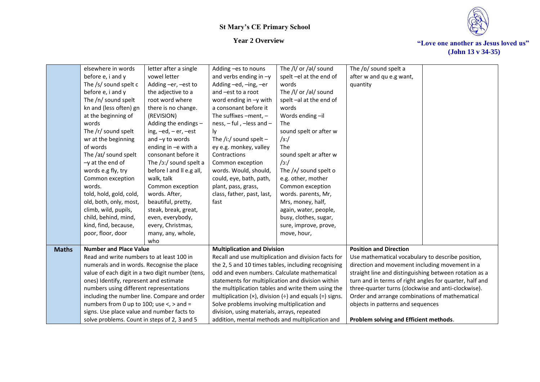

|              | elsewhere in words                               | letter after a single       | Adding -es to nouns                               | The /l/ or /al/ sound                                                  | The /p/ sound spelt a                                   |  |
|--------------|--------------------------------------------------|-----------------------------|---------------------------------------------------|------------------------------------------------------------------------|---------------------------------------------------------|--|
|              | before e, i and y                                | vowel letter                | and verbs ending in -y                            | spelt-el at the end of                                                 | after w and qu e.g want,                                |  |
|              | The /s/ sound spelt c                            | Adding -er, -est to         | Adding -ed, -ing, -er                             | words                                                                  | quantity                                                |  |
|              | before e, i and y                                | the adjective to a          | and -est to a root                                | The /l/ or /al/ sound                                                  |                                                         |  |
|              | The /n/ sound spelt                              | root word where             | word ending in $-y$ with                          | spelt-al at the end of                                                 |                                                         |  |
|              | kn and (less often) gn                           | there is no change.         | a consonant before it                             | words                                                                  |                                                         |  |
|              | at the beginning of                              | (REVISION)                  | The suffixes $-$ ment, $-$                        | Words ending-il                                                        |                                                         |  |
|              | words                                            | Adding the endings -        | ness, - ful, -less and -                          | The                                                                    |                                                         |  |
|              | The /r/ sound spelt                              | ing, $-ed$ , $-er$ , $-est$ | Ιy                                                | sound spelt or after w                                                 |                                                         |  |
|              | wr at the beginning                              | and $-y$ to words           | The /i:/ sound spelt $-$                          | /3: /                                                                  |                                                         |  |
|              | of words                                         | ending in -e with a         | ey e.g. monkey, valley                            | The                                                                    |                                                         |  |
|              | The /aɪ/ sound spelt                             | consonant before it         | Contractions                                      | sound spelt ar after w                                                 |                                                         |  |
|              | $-y$ at the end of                               | The /ɔ:/ sound spelt a      | Common exception                                  | /c                                                                     |                                                         |  |
|              | words e.g fly, try                               | before I and II e.g all,    | words. Would, should,                             | The $/\sqrt{N}$ sound spelt o                                          |                                                         |  |
|              | Common exception                                 | walk, talk                  | could, eye, bath, path,                           | e.g. other, mother                                                     |                                                         |  |
|              | words.                                           | Common exception            | plant, pass, grass,                               | Common exception                                                       |                                                         |  |
|              | told, hold, gold, cold,                          | words. After,               | class, father, past, last,                        | words. parents, Mr,                                                    |                                                         |  |
|              | old, both, only, most,                           | beautiful, pretty,          | fast                                              | Mrs, money, half,                                                      |                                                         |  |
|              | climb, wild, pupils,                             | steak, break, great,        |                                                   | again, water, people,                                                  |                                                         |  |
|              | child, behind, mind,                             | even, everybody,            |                                                   | busy, clothes, sugar,                                                  |                                                         |  |
|              | kind, find, because,                             | every, Christmas,           |                                                   | sure, improve, prove,                                                  |                                                         |  |
|              | poor, floor, door                                | many, any, whole,           |                                                   | move, hour,                                                            |                                                         |  |
|              |                                                  | who                         |                                                   |                                                                        |                                                         |  |
| <b>Maths</b> | <b>Number and Place Value</b>                    |                             | <b>Multiplication and Division</b>                |                                                                        | <b>Position and Direction</b>                           |  |
|              | Read and write numbers to at least 100 in        |                             |                                                   | Recall and use multiplication and division facts for                   | Use mathematical vocabulary to describe position,       |  |
|              | numerals and in words. Recognise the place       |                             |                                                   | the 2, 5 and 10 times tables, including recognising                    | direction and movement including movement in a          |  |
|              | value of each digit in a two digit number (tens, |                             | odd and even numbers. Calculate mathematical      |                                                                        | straight line and distinguishing between rotation as a  |  |
|              | ones) Identify, represent and estimate           |                             | statements for multiplication and division within |                                                                        | turn and in terms of right angles for quarter, half and |  |
|              | numbers using different representations          |                             |                                                   | the multiplication tables and write them using the                     | three-quarter turns (clockwise and anti-clockwise).     |  |
|              | including the number line. Compare and order     |                             |                                                   | multiplication ( $\times$ ), division ( $\div$ ) and equals (=) signs. | Order and arrange combinations of mathematical          |  |
|              | numbers from 0 up to 100; use $\lt$ , $>$ and =  |                             | Solve problems involving multiplication and       |                                                                        | objects in patterns and sequences                       |  |
|              | signs. Use place value and number facts to       |                             | division, using materials, arrays, repeated       |                                                                        |                                                         |  |
|              | solve problems. Count in steps of 2, 3 and 5     |                             | addition, mental methods and multiplication and   |                                                                        | Problem solving and Efficient methods.                  |  |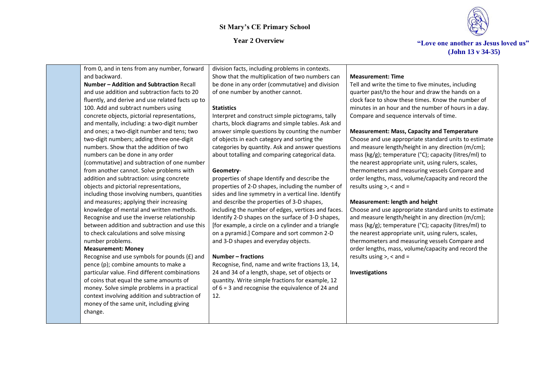### *Year 2 Overview* **The Vertex of the Contract of The Cone and Section 4. The Section 1908 Section 18.**



**(John 13 v 34-35)**

from 0, and in tens from any number, forward and backward. **Number – Addition and Subtraction** Recall and use addition and subtraction facts to 20 fluently, and derive and use related facts up to 100. Add and subtract numbers using concrete objects, pictorial representations, and mentally, including: a two-digit number and ones; a two-digit number and tens; two two-digit numbers; adding three one-digit numbers. Show that the addition of two numbers can be done in any order (commutative) and subtraction of one number from another cannot. Solve problems with addition and subtraction: using concrete objects and pictorial representations, including those involving numbers, quantities and measures; applying their increasing knowledge of mental and written methods. Recognise and use the inverse relationship between addition and subtraction and use this to check calculations and solve missing number problems. **Measurement: Money** Recognise and use symbols for pounds (£) and pence (p); combine amounts to make a particular value. Find different combinations of coins that equal the same amounts of money. Solve simple problems in a practical context involving addition and subtraction of money of the same unit, including giving change. division facts, including problems in contexts. Show that the multiplication of two numbers can be done in any order (commutative) and division of one number by another cannot. **Statistics**  Interpret and construct simple pictograms, tally charts, block diagrams and simple tables. Ask and answer simple questions by counting the number of objects in each category and sorting the categories by quantity. Ask and answer questions about totalling and comparing categorical data. **Geometry**properties of shape Identify and describe the properties of 2-D shapes, including the number of sides and line symmetry in a vertical line. Identify and describe the properties of 3-D shapes, including the number of edges, vertices and faces. Identify 2-D shapes on the surface of 3-D shapes, [for example, a circle on a cylinder and a triangle on a pyramid.] Compare and sort common 2-D and 3-D shapes and everyday objects. **Number – fractions**  Recognise, find, name and write fractions 13, 14, 24 and 34 of a length, shape, set of objects or quantity. Write simple fractions for example, 12 of 6 = 3 and recognise the equivalence of 24 and 12. **Measurement: Time**  Tell and write the time to five minutes, including quarter past/to the hour and draw the hands on a clock face to show these times. Know the number of minutes in an hour and the number of hours in a day. Compare and sequence intervals of time. **Measurement: Mass, Capacity and Temperature** Choose and use appropriate standard units to estimate and measure length/height in any direction (m/cm); mass (kg/g); temperature (°C); capacity (litres/ml) to the nearest appropriate unit, using rulers, scales, thermometers and measuring vessels Compare and order lengths, mass, volume/capacity and record the results using  $>$ ,  $<$  and  $=$ **Measurement: length and height** Choose and use appropriate standard units to estimate and measure length/height in any direction (m/cm); mass (kg/g); temperature (°C); capacity (litres/ml) to the nearest appropriate unit, using rulers, scales, thermometers and measuring vessels Compare and order lengths, mass, volume/capacity and record the results using >, < and = **Investigations**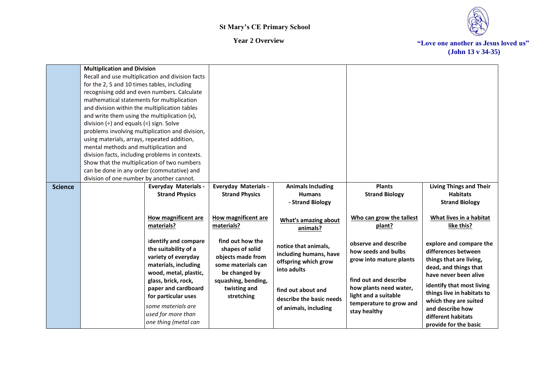

|                | <b>Multiplication and Division</b>              |                                                  |                             |                          |                          |                                                |
|----------------|-------------------------------------------------|--------------------------------------------------|-----------------------------|--------------------------|--------------------------|------------------------------------------------|
|                |                                                 | Recall and use multiplication and division facts |                             |                          |                          |                                                |
|                | for the 2, 5 and 10 times tables, including     |                                                  |                             |                          |                          |                                                |
|                | recognising odd and even numbers. Calculate     |                                                  |                             |                          |                          |                                                |
|                | mathematical statements for multiplication      |                                                  |                             |                          |                          |                                                |
|                | and division within the multiplication tables   |                                                  |                             |                          |                          |                                                |
|                | and write them using the multiplication (x),    |                                                  |                             |                          |                          |                                                |
|                | division $(\div)$ and equals $(=)$ sign. Solve  |                                                  |                             |                          |                          |                                                |
|                |                                                 | problems involving multiplication and division,  |                             |                          |                          |                                                |
|                | using materials, arrays, repeated addition,     |                                                  |                             |                          |                          |                                                |
|                | mental methods and multiplication and           |                                                  |                             |                          |                          |                                                |
|                | division facts, including problems in contexts. |                                                  |                             |                          |                          |                                                |
|                | Show that the multiplication of two numbers     |                                                  |                             |                          |                          |                                                |
|                | can be done in any order (commutative) and      |                                                  |                             |                          |                          |                                                |
|                | division of one number by another cannot.       |                                                  |                             |                          |                          |                                                |
| <b>Science</b> |                                                 | <b>Everyday Materials -</b>                      | <b>Everyday Materials -</b> | <b>Animals Including</b> | <b>Plants</b>            | <b>Living Things and Their</b>                 |
|                |                                                 | <b>Strand Physics</b>                            | <b>Strand Physics</b>       | <b>Humans</b>            | <b>Strand Biology</b>    | <b>Habitats</b>                                |
|                |                                                 |                                                  |                             | - Strand Biology         |                          | <b>Strand Biology</b>                          |
|                |                                                 | How magnificent are                              | How magnificent are         |                          | Who can grow the tallest | What lives in a habitat                        |
|                |                                                 | materials?                                       | materials?                  | What's amazing about     | plant?                   | like this?                                     |
|                |                                                 |                                                  |                             | animals?                 |                          |                                                |
|                |                                                 | identify and compare                             | find out how the            |                          | observe and describe     |                                                |
|                |                                                 | the suitability of a                             | shapes of solid             | notice that animals,     | how seeds and bulbs      | explore and compare the<br>differences between |
|                |                                                 | variety of everyday                              | objects made from           | including humans, have   |                          | things that are living,                        |
|                |                                                 | materials, including                             | some materials can          | offspring which grow     | grow into mature plants  | dead, and things that                          |
|                |                                                 | wood, metal, plastic,                            | be changed by               | into adults              |                          | have never been alive                          |
|                |                                                 | glass, brick, rock,                              | squashing, bending,         |                          | find out and describe    |                                                |
|                |                                                 | paper and cardboard                              | twisting and                | find out about and       | how plants need water,   | identify that most living                      |
|                |                                                 | for particular uses                              | stretching                  | describe the basic needs | light and a suitable     | things live in habitats to                     |
|                |                                                 | some materials are                               |                             |                          | temperature to grow and  | which they are suited                          |
|                |                                                 | used for more than                               |                             | of animals, including    | stay healthy             | and describe how                               |
|                |                                                 | one thing (metal can                             |                             |                          |                          | different habitats                             |
|                |                                                 |                                                  |                             |                          |                          | provide for the basic                          |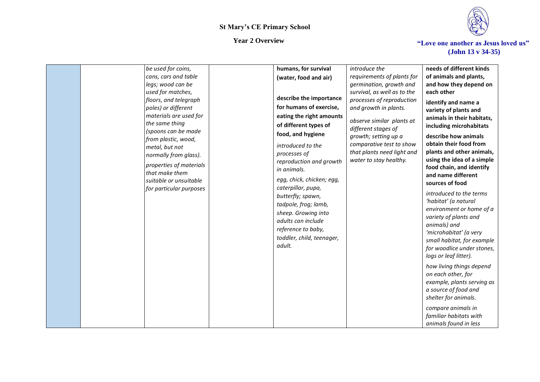

| be used for coins,      | humans, for survival      | introduce the               | needs of different kinds   |
|-------------------------|---------------------------|-----------------------------|----------------------------|
| cans, cars and table    | (water, food and air)     | requirements of plants for  | of animals and plants,     |
| legs; wood can be       |                           | germination, growth and     | and how they depend on     |
| used for matches,       |                           | survival, as well as to the | each other                 |
| floors, and telegraph   | describe the importance   | processes of reproduction   | identify and name a        |
| poles) or different     | for humans of exercise,   | and growth in plants.       | variety of plants and      |
| materials are used for  | eating the right amounts  | observe similar plants at   | animals in their habitats, |
| the same thing          | of different types of     | different stages of         | including microhabitats    |
| (spoons can be made     | food, and hygiene         | growth; setting up a        | describe how animals       |
| from plastic, wood,     |                           | comparative test to show    | obtain their food from     |
| metal, but not          | introduced to the         | that plants need light and  | plants and other animals,  |
| normally from glass).   | processes of              | water to stay healthy.      | using the idea of a simple |
| properties of materials | reproduction and growth   |                             | food chain, and identify   |
| that make them          | in animals.               |                             | and name different         |
| suitable or unsuitable  | egg, chick, chicken; egg, |                             | sources of food            |
| for particular purposes | caterpillar, pupa,        |                             |                            |
|                         | butterfly; spawn,         |                             | introduced to the terms    |
|                         | tadpole, frog; lamb,      |                             | 'habitat' (a natural       |
|                         | sheep. Growing into       |                             | environment or home of a   |
|                         | adults can include        |                             | variety of plants and      |
|                         | reference to baby,        |                             | animals) and               |
|                         | toddler, child, teenager, |                             | 'microhabitat' (a very     |
|                         | adult.                    |                             | small habitat, for example |
|                         |                           |                             | for woodlice under stones, |
|                         |                           |                             | logs or leaf litter).      |
|                         |                           |                             | how living things depend   |
|                         |                           |                             | on each other, for         |
|                         |                           |                             | example, plants serving as |
|                         |                           |                             | a source of food and       |
|                         |                           |                             | shelter for animals.       |
|                         |                           |                             | compare animals in         |
|                         |                           |                             | familiar habitats with     |
|                         |                           |                             | animals found in less      |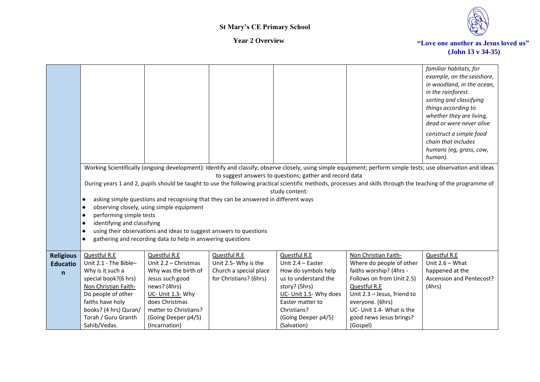

|                                                     |                                                                                                                                                                                                                     |                                                                                                                                                                                                         |                                                                                          |                                                                                                                                                                                                             |                                                                                                                                                                                                                                                                                                                                 | familiar habitats, for<br>example, on the seashore,<br>in woodland, in the ocean,<br>in the rainforest.<br>sorting and classifying<br>things according to<br>whether they are living,<br>dead or were never alive<br>construct a simple food<br>chain that includes<br>humans (eg, grass, cow,<br>human). |
|-----------------------------------------------------|---------------------------------------------------------------------------------------------------------------------------------------------------------------------------------------------------------------------|---------------------------------------------------------------------------------------------------------------------------------------------------------------------------------------------------------|------------------------------------------------------------------------------------------|-------------------------------------------------------------------------------------------------------------------------------------------------------------------------------------------------------------|---------------------------------------------------------------------------------------------------------------------------------------------------------------------------------------------------------------------------------------------------------------------------------------------------------------------------------|-----------------------------------------------------------------------------------------------------------------------------------------------------------------------------------------------------------------------------------------------------------------------------------------------------------|
|                                                     | $\bullet$<br>$\bullet$<br>performing simple tests<br>$\bullet$<br>identifying and classifying<br>$\bullet$<br>$\bullet$<br>$\bullet$                                                                                | observing closely, using simple equipment<br>using their observations and ideas to suggest answers to questions<br>gathering and recording data to help in answering questions                          | asking simple questions and recognising that they can be answered in different ways      | to suggest answers to questions; gather and record data<br>study content:                                                                                                                                   | Working Scientifically (ongoing development): Identify and classify; observe closely, using simple equipment; perform simple tests; use observation and ideas<br>During years 1 and 2, pupils should be taught to use the following practical scientific methods, processes and skills through the teaching of the programme of |                                                                                                                                                                                                                                                                                                           |
| <b>Religious</b><br><b>Educatio</b><br>$\mathsf{n}$ | Questful R.E<br>Unit 2.1 - The Bible-<br>Why is it such a<br>special book?(6 hrs)<br>Non Christian Faith-<br>Do people of other<br>faiths have holy<br>books? (4 hrs) Quran/<br>Torah / Guru Granth<br>Sahib/Vedas. | Questful R.E<br>Unit 2.2 - Christmas<br>Why was the birth of<br>Jesus such good<br>news? (4hrs)<br>UC- Unit 1.3- Why<br>does Christmas<br>matter to Christians?<br>(Going Deeper p4/5)<br>(Incarnation) | Questful R.E<br>Unit 2.5- Why is the<br>Church a special place<br>for Christians? (6hrs) | <b>Questful R.E</b><br>Unit 2.4 - Easter<br>How do symbols help<br>us to understand the<br>story? (5hrs)<br>UC- Unit 1.5- Why does<br>Easter matter to<br>Christians?<br>(Going Deeper p4/5)<br>(Salvation) | Non Christian Faith-<br>Where do people of other<br>faiths worship? (4hrs -<br>Follows on from Unit 2.5)<br>Questful R.E<br>Unit 2.3 - Jesus, friend to<br>everyone. (6hrs)<br>UC- Unit 1.4- What is the<br>good news Jesus brings?<br>(Gospel)                                                                                 | Questful R.E<br>Unit $2.6 - What$<br>happened at the<br><b>Ascension and Pentecost?</b><br>(4hrs)                                                                                                                                                                                                         |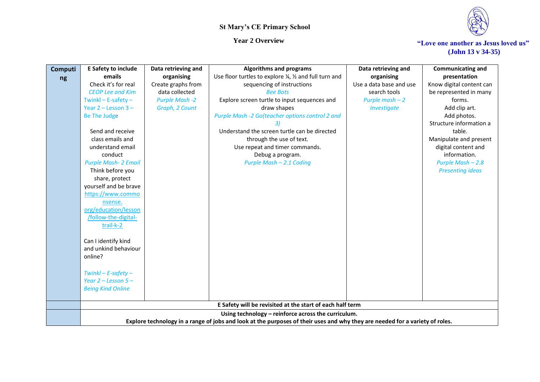



| <b>Computi</b> | <b>E Safety to include</b>                       | Data retrieving and   | <b>Algorithms and programs</b>                                                                                               | Data retrieving and | <b>Communicating and</b> |
|----------------|--------------------------------------------------|-----------------------|------------------------------------------------------------------------------------------------------------------------------|---------------------|--------------------------|
| ng             | emails                                           | organising            | Use floor turtles to explore $\frac{1}{2}$ , $\frac{1}{2}$ and full turn and<br>organising                                   |                     | presentation             |
|                | Check it's for real                              | Create graphs from    | sequencing of instructions<br>Use a data base and use                                                                        |                     | Know digital content can |
|                | <b>CEOP Lee and Kim</b>                          | data collected        | <b>Bee Bots</b><br>search tools                                                                                              |                     | be represented in many   |
|                | Twinkl $-$ E-safety $-$                          | <b>Purple Mash -2</b> | Explore screen turtle to input sequences and<br>Purple mash $-2$                                                             |                     | forms.                   |
|                | Year $2 -$ Lesson $3 -$                          | Graph, 2 Count        | draw shapes                                                                                                                  | Investigate         | Add clip art.            |
|                | <b>Be The Judge</b>                              |                       | Purple Mash -2 Go(teacher options control 2 and                                                                              |                     | Add photos.              |
|                |                                                  |                       |                                                                                                                              |                     | Structure information a  |
|                | Send and receive                                 |                       | Understand the screen turtle can be directed                                                                                 |                     | table.                   |
|                | class emails and                                 |                       | through the use of text.                                                                                                     |                     | Manipulate and present   |
|                | understand email                                 |                       | Use repeat and timer commands.                                                                                               |                     | digital content and      |
|                | conduct                                          |                       | Debug a program.                                                                                                             |                     | information.             |
|                | <b>Purple Mash- 2 Email</b>                      |                       | Purple Mash - 2.1 Coding                                                                                                     |                     | Purple Mash - 2.8        |
|                | Think before you                                 |                       |                                                                                                                              |                     | <b>Presenting ideas</b>  |
|                | share, protect                                   |                       |                                                                                                                              |                     |                          |
|                | yourself and be brave                            |                       |                                                                                                                              |                     |                          |
|                | https://www.commo                                |                       |                                                                                                                              |                     |                          |
|                | nsense.                                          |                       |                                                                                                                              |                     |                          |
|                | org/education/lesson                             |                       |                                                                                                                              |                     |                          |
|                | /follow-the-digital-                             |                       |                                                                                                                              |                     |                          |
|                | trail-k-2                                        |                       |                                                                                                                              |                     |                          |
|                |                                                  |                       |                                                                                                                              |                     |                          |
|                | Can I identify kind                              |                       |                                                                                                                              |                     |                          |
|                | and unkind behaviour                             |                       |                                                                                                                              |                     |                          |
|                | online?                                          |                       |                                                                                                                              |                     |                          |
|                |                                                  |                       |                                                                                                                              |                     |                          |
|                | $Twinkl - E-safety -$<br>Year $2 -$ Lesson $5 -$ |                       |                                                                                                                              |                     |                          |
|                |                                                  |                       |                                                                                                                              |                     |                          |
|                | <b>Being Kind Online</b>                         |                       |                                                                                                                              |                     |                          |
|                |                                                  |                       | E Safety will be revisited at the start of each half term                                                                    |                     |                          |
|                |                                                  |                       | Using technology - reinforce across the curriculum.                                                                          |                     |                          |
|                |                                                  |                       | Explore technology in a range of jobs and look at the purposes of their uses and why they are needed for a variety of roles. |                     |                          |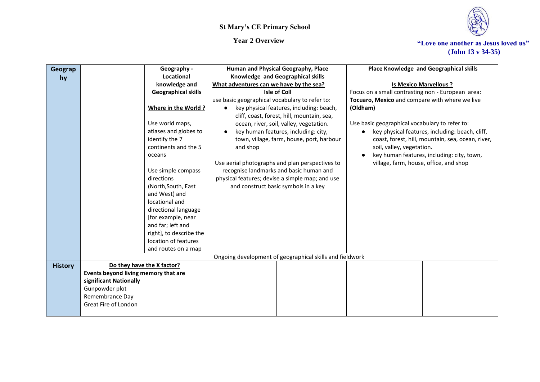



| Geograp        | Geography -                          | Human and Physical Geography, Place                                                    | Place Knowledge and Geographical skills           |
|----------------|--------------------------------------|----------------------------------------------------------------------------------------|---------------------------------------------------|
| hy             | Locational                           | Knowledge and Geographical skills                                                      |                                                   |
|                | knowledge and                        | What adventures can we have by the sea?                                                | <b>Is Mexico Marvellous ?</b>                     |
|                | <b>Geographical skills</b>           | Isle of Coll                                                                           | Focus on a small contrasting non - European area: |
|                |                                      | use basic geographical vocabulary to refer to:                                         | Tocuaro, Mexico and compare with where we live    |
|                | Where in the World?                  | key physical features, including: beach,<br>cliff, coast, forest, hill, mountain, sea, | (Oldham)                                          |
|                | Use world maps,                      | ocean, river, soil, valley, vegetation.                                                | Use basic geographical vocabulary to refer to:    |
|                | atlases and globes to                | key human features, including: city,                                                   | key physical features, including: beach, cliff,   |
|                | identify the 7                       | town, village, farm, house, port, harbour                                              | coast, forest, hill, mountain, sea, ocean, river, |
|                | continents and the 5                 | and shop                                                                               | soil, valley, vegetation.                         |
|                | oceans                               |                                                                                        | key human features, including: city, town,        |
|                |                                      | Use aerial photographs and plan perspectives to                                        | village, farm, house, office, and shop            |
|                | Use simple compass                   | recognise landmarks and basic human and                                                |                                                   |
|                | directions                           | physical features; devise a simple map; and use                                        |                                                   |
|                | (North, South, East                  | and construct basic symbols in a key                                                   |                                                   |
|                | and West) and                        |                                                                                        |                                                   |
|                | locational and                       |                                                                                        |                                                   |
|                | directional language                 |                                                                                        |                                                   |
|                | [for example, near                   |                                                                                        |                                                   |
|                | and far; left and                    |                                                                                        |                                                   |
|                | right], to describe the              |                                                                                        |                                                   |
|                | location of features                 |                                                                                        |                                                   |
|                | and routes on a map                  |                                                                                        |                                                   |
|                |                                      | Ongoing development of geographical skills and fieldwork                               |                                                   |
| <b>History</b> | Do they have the X factor?           |                                                                                        |                                                   |
|                | Events beyond living memory that are |                                                                                        |                                                   |
|                | significant Nationally               |                                                                                        |                                                   |
|                | Gunpowder plot                       |                                                                                        |                                                   |
|                | Remembrance Day                      |                                                                                        |                                                   |
|                | Great Fire of London                 |                                                                                        |                                                   |
|                |                                      |                                                                                        |                                                   |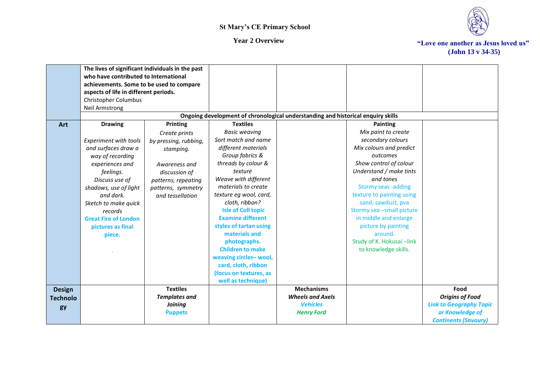

|                 | The lives of significant individuals in the past<br>who have contributed to International<br>achievements. Some to be used to compare |                       |                                                                                  |                         |                            |                                |
|-----------------|---------------------------------------------------------------------------------------------------------------------------------------|-----------------------|----------------------------------------------------------------------------------|-------------------------|----------------------------|--------------------------------|
|                 | aspects of life in different periods.                                                                                                 |                       |                                                                                  |                         |                            |                                |
|                 | Christopher Columbus                                                                                                                  |                       |                                                                                  |                         |                            |                                |
|                 | <b>Neil Armstrong</b>                                                                                                                 |                       |                                                                                  |                         |                            |                                |
|                 |                                                                                                                                       |                       | Ongoing development of chronological understanding and historical enquiry skills |                         |                            |                                |
| Art             | <b>Drawing</b>                                                                                                                        | Printing              | <b>Textiles</b>                                                                  |                         | Painting                   |                                |
|                 |                                                                                                                                       | Create prints         | <b>Basic weaving</b>                                                             |                         | Mix paint to create        |                                |
|                 | Experiment with tools                                                                                                                 | by pressing, rubbing, | Sort match and name                                                              |                         | secondary colours          |                                |
|                 | and surfaces draw a                                                                                                                   | stamping.             | different materials                                                              |                         | Mix colours and predict    |                                |
|                 | way of recording                                                                                                                      |                       | Group fabrics &                                                                  |                         | outcomes                   |                                |
|                 | experiences and                                                                                                                       | Awareness and         | threads by colour &                                                              |                         | Show control of colour     |                                |
|                 | feelings.                                                                                                                             | discussion of         | texture                                                                          |                         | Understand / make tints    |                                |
|                 | Discuss use of                                                                                                                        | patterns, repeating   | Weave with different                                                             |                         | and tones                  |                                |
|                 | shadows, use of light                                                                                                                 | patterns, symmetry    | materials to create                                                              |                         | Stormy seas -adding        |                                |
|                 | and dark.                                                                                                                             | and tessellation      | texture eg wool, card,                                                           |                         | texture to painting using  |                                |
|                 | Sketch to make quick                                                                                                                  |                       | cloth, ribbon?                                                                   |                         | sand, sawdust, pva         |                                |
|                 | records                                                                                                                               |                       | <b>Isle of Coll topic</b>                                                        |                         | Stormy sea -small picture  |                                |
|                 | <b>Great Fire of London</b>                                                                                                           |                       | <b>Examine different</b>                                                         |                         | in middle and enlarge      |                                |
|                 | pictures as final                                                                                                                     |                       | styles of tartan using                                                           |                         | picture by painting        |                                |
|                 | piece.                                                                                                                                |                       | materials and                                                                    |                         | around.                    |                                |
|                 |                                                                                                                                       |                       | photographs.                                                                     |                         | Study of K. Hokusai - link |                                |
|                 |                                                                                                                                       |                       | <b>Children to make</b>                                                          |                         | to knowledge skills.       |                                |
|                 |                                                                                                                                       |                       | weaving circles-wool,                                                            |                         |                            |                                |
|                 |                                                                                                                                       |                       | card, cloth, ribbon                                                              |                         |                            |                                |
|                 |                                                                                                                                       |                       | (focus on textures, as                                                           |                         |                            |                                |
|                 |                                                                                                                                       |                       | well as technique)                                                               |                         |                            |                                |
| <b>Design</b>   |                                                                                                                                       | <b>Textiles</b>       |                                                                                  | <b>Mechanisms</b>       |                            | Food                           |
| <b>Technolo</b> |                                                                                                                                       | <b>Templates and</b>  |                                                                                  | <b>Wheels and Axels</b> |                            | <b>Origins of Food</b>         |
| gy              |                                                                                                                                       | <b>Joining</b>        |                                                                                  | <b>Vehicles</b>         |                            | <b>Link to Geography Topic</b> |
|                 |                                                                                                                                       | <b>Puppets</b>        |                                                                                  | <b>Henry Ford</b>       |                            | or Knowledge of                |
|                 |                                                                                                                                       |                       |                                                                                  |                         |                            | <b>Continents (Savoury)</b>    |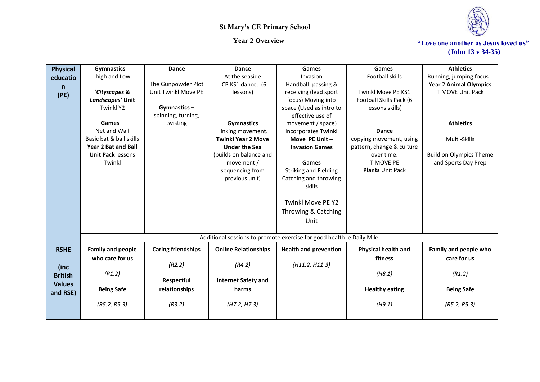

| <b>Physical</b> | Gymnastics -               | Dance                     | <b>Dance</b>                      | Games                                                                 | Games-                               | <b>Athletics</b>               |
|-----------------|----------------------------|---------------------------|-----------------------------------|-----------------------------------------------------------------------|--------------------------------------|--------------------------------|
| educatio        | high and Low               |                           | At the seaside                    | Invasion                                                              | Football skills                      | Running, jumping focus-        |
| n               |                            | The Gunpowder Plot        | LCP KS1 dance: (6                 | Handball -passing &                                                   |                                      | Year 2 Animal Olympics         |
| (PE)            | 'Cityscapes &              | Unit Twinkl Move PE       | lessons)                          | receiving (lead sport                                                 | Twinkl Move PE KS1                   | T MOVE Unit Pack               |
|                 | Landscapes' Unit           |                           |                                   | focus) Moving into                                                    | Football Skills Pack (6              |                                |
|                 | <b>Twinkl Y2</b>           | Gymnastics-               |                                   | space (Used as intro to                                               | lessons skills)                      |                                |
|                 |                            | spinning, turning,        |                                   | effective use of                                                      |                                      |                                |
|                 | $Games -$                  | twisting                  | <b>Gymnastics</b>                 | movement / space)                                                     |                                      | <b>Athletics</b>               |
|                 | Net and Wall               |                           | linking movement.                 | <b>Incorporates Twinkl</b>                                            | <b>Dance</b>                         |                                |
|                 | Basic bat & ball skills    |                           | <b>Twinkl Year 2 Move</b>         | Move PE Unit -                                                        | copying movement, using              | Multi-Skills                   |
|                 | <b>Year 2 Bat and Ball</b> |                           | <b>Under the Sea</b>              | <b>Invasion Games</b>                                                 | pattern, change & culture            |                                |
|                 | <b>Unit Pack lessons</b>   |                           | (builds on balance and            |                                                                       | over time.                           | <b>Build on Olympics Theme</b> |
|                 | Twinkl                     |                           | movement /                        | Games                                                                 | T MOVE PE<br><b>Plants Unit Pack</b> | and Sports Day Prep            |
|                 |                            |                           | sequencing from<br>previous unit) | <b>Striking and Fielding</b><br>Catching and throwing                 |                                      |                                |
|                 |                            |                           |                                   | skills                                                                |                                      |                                |
|                 |                            |                           |                                   |                                                                       |                                      |                                |
|                 |                            |                           |                                   | <b>Twinkl Move PE Y2</b>                                              |                                      |                                |
|                 |                            |                           |                                   | Throwing & Catching                                                   |                                      |                                |
|                 |                            |                           |                                   |                                                                       |                                      |                                |
|                 |                            |                           |                                   | Unit                                                                  |                                      |                                |
|                 |                            |                           |                                   |                                                                       |                                      |                                |
|                 |                            |                           |                                   | Additional sessions to promote exercise for good health ie Daily Mile |                                      |                                |
| <b>RSHE</b>     | <b>Family and people</b>   | <b>Caring friendships</b> | <b>Online Relationships</b>       | <b>Health and prevention</b>                                          | Physical health and                  | Family and people who          |
|                 | who care for us            |                           |                                   |                                                                       | fitness                              | care for us                    |
| (inc            |                            | (R2.2)                    | (R4.2)                            | (H11.2, H11.3)                                                        |                                      |                                |
| <b>British</b>  | (R1.2)                     |                           |                                   |                                                                       | (H8.1)                               | (R1.2)                         |
| <b>Values</b>   |                            | Respectful                | <b>Internet Safety and</b>        |                                                                       |                                      |                                |
| and RSE)        | <b>Being Safe</b>          | relationships             | harms                             |                                                                       | <b>Healthy eating</b>                | <b>Being Safe</b>              |
|                 |                            |                           |                                   |                                                                       |                                      |                                |
|                 | (R5.2, R5.3)               | (R3.2)                    | (H7.2, H7.3)                      |                                                                       | (H9.1)                               | (R5.2, R5.3)                   |
|                 |                            |                           |                                   |                                                                       |                                      |                                |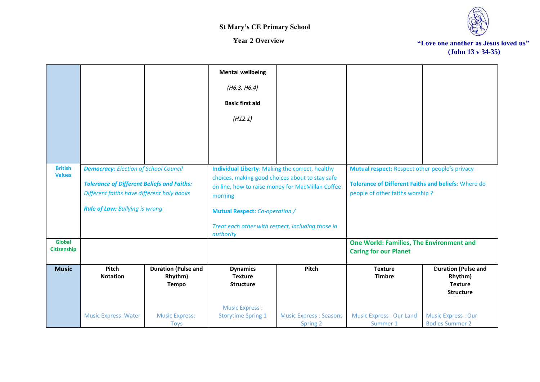



|                                     |                                                                                                                                                                                          |                                                       | <b>Mental wellbeing</b><br>(H6.3, H6.4)<br><b>Basic first aid</b><br>(H12.1)                                                                                                                                                                                                 |                                           |                                                                                                                                                 |                                                                             |
|-------------------------------------|------------------------------------------------------------------------------------------------------------------------------------------------------------------------------------------|-------------------------------------------------------|------------------------------------------------------------------------------------------------------------------------------------------------------------------------------------------------------------------------------------------------------------------------------|-------------------------------------------|-------------------------------------------------------------------------------------------------------------------------------------------------|-----------------------------------------------------------------------------|
| <b>British</b><br><b>Values</b>     | <b>Democracy: Election of School Council</b><br><b>Tolerance of Different Beliefs and Faiths:</b><br>Different faiths have different holy books<br><b>Rule of Law: Bullying is wrong</b> |                                                       | Individual Liberty: Making the correct, healthy<br>choices, making good choices about to stay safe<br>on line, how to raise money for MacMillan Coffee<br>morning<br><b>Mutual Respect: Co-operation /</b><br>Treat each other with respect, including those in<br>authority |                                           | Mutual respect: Respect other people's privacy<br><b>Tolerance of Different Faiths and beliefs: Where do</b><br>people of other faiths worship? |                                                                             |
| <b>Global</b><br><b>Citizenship</b> |                                                                                                                                                                                          |                                                       |                                                                                                                                                                                                                                                                              |                                           | One World: Families, The Environment and<br><b>Caring for our Planet</b>                                                                        |                                                                             |
| <b>Music</b>                        | Pitch<br><b>Notation</b>                                                                                                                                                                 | <b>Duration (Pulse and</b><br>Rhythm)<br><b>Tempo</b> | <b>Dynamics</b><br><b>Texture</b><br><b>Structure</b>                                                                                                                                                                                                                        | Pitch                                     | <b>Texture</b><br><b>Timbre</b>                                                                                                                 | <b>Duration (Pulse and</b><br>Rhythm)<br><b>Texture</b><br><b>Structure</b> |
|                                     | <b>Music Express: Water</b>                                                                                                                                                              | <b>Music Express:</b><br><b>Toys</b>                  | <b>Music Express:</b><br><b>Storytime Spring 1</b>                                                                                                                                                                                                                           | <b>Music Express: Seasons</b><br>Spring 2 | <b>Music Express: Our Land</b><br>Summer 1                                                                                                      | <b>Music Express: Our</b><br><b>Bodies Summer 2</b>                         |